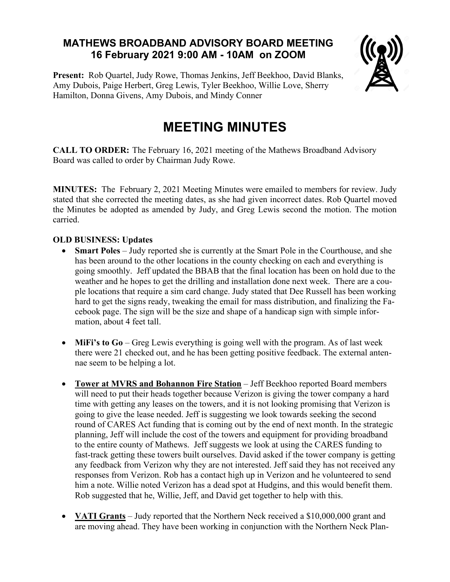## **MATHEWS BROADBAND ADVISORY BOARD MEETING 16 February 2021 9:00 AM - 10AM on ZOOM**

**Present:** Rob Quartel, Judy Rowe, Thomas Jenkins, Jeff Beekhoo, David Blanks, Amy Dubois, Paige Herbert, Greg Lewis, Tyler Beekhoo, Willie Love, Sherry Hamilton, Donna Givens, Amy Dubois, and Mindy Conner



# **MEETING MINUTES**

**CALL TO ORDER:** The February 16, 2021 meeting of the Mathews Broadband Advisory Board was called to order by Chairman Judy Rowe.

**MINUTES:** TheFebruary 2, 2021 Meeting Minutes were emailed to members for review. Judy stated that she corrected the meeting dates, as she had given incorrect dates. Rob Quartel moved the Minutes be adopted as amended by Judy, and Greg Lewis second the motion. The motion carried.

### **OLD BUSINESS: Updates**

- **Smart Poles** Judy reported she is currently at the Smart Pole in the Courthouse, and she has been around to the other locations in the county checking on each and everything is going smoothly. Jeff updated the BBAB that the final location has been on hold due to the weather and he hopes to get the drilling and installation done next week. There are a couple locations that require a sim card change. Judy stated that Dee Russell has been working hard to get the signs ready, tweaking the email for mass distribution, and finalizing the Facebook page. The sign will be the size and shape of a handicap sign with simple information, about 4 feet tall.
- **MiFi's to Go** Greg Lewis everything is going well with the program. As of last week there were 21 checked out, and he has been getting positive feedback. The external antennae seem to be helping a lot.
- **Tower at MVRS and Bohannon Fire Station** Jeff Beekhoo reported Board members will need to put their heads together because Verizon is giving the tower company a hard time with getting any leases on the towers, and it is not looking promising that Verizon is going to give the lease needed. Jeff is suggesting we look towards seeking the second round of CARES Act funding that is coming out by the end of next month. In the strategic planning, Jeff will include the cost of the towers and equipment for providing broadband to the entire county of Mathews. Jeff suggests we look at using the CARES funding to fast-track getting these towers built ourselves. David asked if the tower company is getting any feedback from Verizon why they are not interested. Jeff said they has not received any responses from Verizon. Rob has a contact high up in Verizon and he volunteered to send him a note. Willie noted Verizon has a dead spot at Hudgins, and this would benefit them. Rob suggested that he, Willie, Jeff, and David get together to help with this.
- **VATI Grants** Judy reported that the Northern Neck received a \$10,000,000 grant and are moving ahead. They have been working in conjunction with the Northern Neck Plan-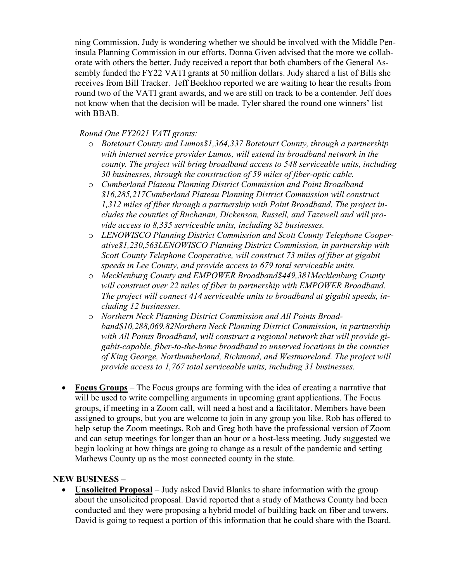ning Commission. Judy is wondering whether we should be involved with the Middle Peninsula Planning Commission in our efforts. Donna Given advised that the more we collaborate with others the better. Judy received a report that both chambers of the General Assembly funded the FY22 VATI grants at 50 million dollars. Judy shared a list of Bills she receives from Bill Tracker. Jeff Beekhoo reported we are waiting to hear the results from round two of the VATI grant awards, and we are still on track to be a contender. Jeff does not know when that the decision will be made. Tyler shared the round one winners' list with BBAB.

### *Round One FY2021 VATI grants:*

- o *Botetourt County and Lumos\$1,364,337 Botetourt County, through a partnership with internet service provider Lumos, will extend its broadband network in the county. The project will bring broadband access to 548 serviceable units, including 30 businesses, through the construction of 59 miles of fiber-optic cable.*
- o *Cumberland Plateau Planning District Commission and Point Broadband \$16,285,217Cumberland Plateau Planning District Commission will construct 1,312 miles of fiber through a partnership with Point Broadband. The project includes the counties of Buchanan, Dickenson, Russell, and Tazewell and will provide access to 8,335 serviceable units, including 82 businesses.*
- o *LENOWISCO Planning District Commission and Scott County Telephone Cooperative\$1,230,563LENOWISCO Planning District Commission, in partnership with Scott County Telephone Cooperative, will construct 73 miles of fiber at gigabit speeds in Lee County, and provide access to 679 total serviceable units.*
- o *Mecklenburg County and EMPOWER Broadband\$449,381Mecklenburg County will construct over 22 miles of fiber in partnership with EMPOWER Broadband. The project will connect 414 serviceable units to broadband at gigabit speeds, including 12 businesses.*
- o *Northern Neck Planning District Commission and All Points Broadband\$10,288,069.82Northern Neck Planning District Commission, in partnership with All Points Broadband, will construct a regional network that will provide gigabit-capable, fiber-to-the-home broadband to unserved locations in the counties of King George, Northumberland, Richmond, and Westmoreland. The project will provide access to 1,767 total serviceable units, including 31 businesses.*
- **Focus Groups** The Focus groups are forming with the idea of creating a narrative that will be used to write compelling arguments in upcoming grant applications. The Focus groups, if meeting in a Zoom call, will need a host and a facilitator. Members have been assigned to groups, but you are welcome to join in any group you like. Rob has offered to help setup the Zoom meetings. Rob and Greg both have the professional version of Zoom and can setup meetings for longer than an hour or a host-less meeting. Judy suggested we begin looking at how things are going to change as a result of the pandemic and setting Mathews County up as the most connected county in the state.

### **NEW BUSINESS –**

• **Unsolicited Proposal** – Judy asked David Blanks to share information with the group about the unsolicited proposal. David reported that a study of Mathews County had been conducted and they were proposing a hybrid model of building back on fiber and towers. David is going to request a portion of this information that he could share with the Board.